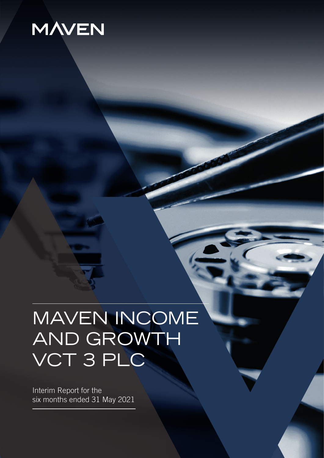# **MAVEN**

# MAVEN INCOME AND GROWTH VCT 3 PLC

Interim Report for the six months ended 31 May 2021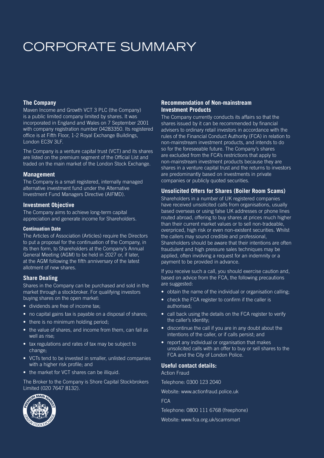# CORPORATE SUMMARY

#### **The Company**

Maven Income and Growth VCT 3 PLC (the Company) is a public limited company limited by shares. It was incorporated in England and Wales on 7 September 2001 with company registration number 04283350. Its registered office is at Fifth Floor, 1-2 Royal Exchange Buildings, London EC3V 3LF.

The Company is a venture capital trust (VCT) and its shares are listed on the premium segment of the Official List and traded on the main market of the London Stock Exchange.

#### **Management**

The Company is a small registered, internally managed alternative investment fund under the Alternative Investment Fund Managers Directive (AIFMD).

#### **Investment Objective**

The Company aims to achieve long-term capital appreciation and generate income for Shareholders.

#### **Continuation Date**

The Articles of Association (Articles) require the Directors to put a proposal for the continuation of the Company, in its then form, to Shareholders at the Company's Annual General Meeting (AGM) to be held in 2027 or, if later, at the AGM following the fifth anniversary of the latest allotment of new shares.

#### **Share Dealing**

Shares in the Company can be purchased and sold in the market through a stockbroker. For qualifying investors buying shares on the open market:

- dividends are free of income tax;
- no capital gains tax is payable on a disposal of shares:
- there is no minimum holding period;
- the value of shares, and income from them, can fall as well as rise;
- tax regulations and rates of tax may be subject to change;
- VCTs tend to be invested in smaller, unlisted companies with a higher risk profile; and
- the market for VCT shares can be illiquid.

The Broker to the Company is Shore Capital Stockbrokers Limited (020 7647 8132).



#### **Recommendation of Non-mainstream Investment Products**

The Company currently conducts its affairs so that the shares issued by it can be recommended by financial advisers to ordinary retail investors in accordance with the rules of the Financial Conduct Authority (FCA) in relation to non-mainstream investment products, and intends to do so for the foreseeable future. The Company's shares are excluded from the FCA's restrictions that apply to non-mainstream investment products because they are shares in a venture capital trust and the returns to investors are predominantly based on investments in private companies or publicly quoted securities.

#### **Unsolicited Offers for Shares (Boiler Room Scams)**

Shareholders in a number of UK registered companies have received unsolicited calls from organisations, usually based overseas or using false UK addresses or phone lines routed abroad, offering to buy shares at prices much higher than their current market values or to sell non-tradeable, overpriced, high risk or even non-existent securities. Whilst the callers may sound credible and professional, Shareholders should be aware that their intentions are often fraudulent and high pressure sales techniques may be applied, often involving a request for an indemnity or a payment to be provided in advance.

If you receive such a call, you should exercise caution and, based on advice from the FCA, the following precautions are suggested:

- obtain the name of the individual or organisation calling;
- check the FCA register to confirm if the caller is authorised;
- call back using the details on the FCA register to verify the caller's identity;
- discontinue the call if you are in any doubt about the intentions of the caller, or if calls persist; and
- report any individual or organisation that makes unsolicited calls with an offer to buy or sell shares to the FCA and the City of London Police.

#### **Useful contact details:**

Action Fraud

Telephone: 0300 123 2040

Website: www.actionfraud.police.uk

FCA

Telephone: 0800 111 6768 (freephone)

Website: www.fca.org.uk/scamsmart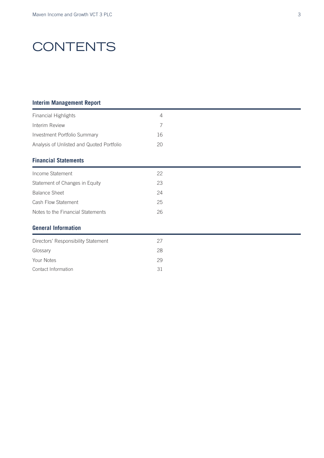# **CONTENTS**

#### **Interim Management Report**

| <b>Financial Highlights</b>               | $\overline{4}$ |  |  |
|-------------------------------------------|----------------|--|--|
| Interim Review                            | 7              |  |  |
| Investment Portfolio Summary              | 16             |  |  |
| Analysis of Unlisted and Quoted Portfolio | 20             |  |  |
| <b>Financial Statements</b>               |                |  |  |
| Income Statement                          | 22             |  |  |
| Statement of Changes in Equity            | 23             |  |  |
| <b>Balance Sheet</b>                      | 24             |  |  |
| Cash Flow Statement                       | 25             |  |  |
| Notes to the Financial Statements         | 26             |  |  |
| <b>General Information</b>                |                |  |  |
| Directors' Responsibility Statement       | 27             |  |  |
| Glossary                                  | 28             |  |  |
| Your Notes                                | 29             |  |  |
| Contact Information                       | 31             |  |  |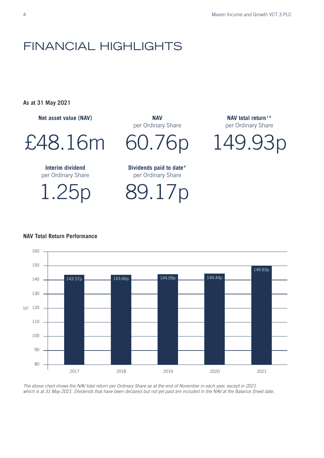### FINANCIAL HIGHLIGHTS

**As at 31 May 2021**

**Net asset value (NAV)** 

£48.16m

**Interim dividend**  per Ordinary Share

1.25p

**NAV**  per Ordinary Share

60.76p

**Dividends paid to date\*** per Ordinary Share

89.17p

**NAV total return <sup>1</sup> \*** per Ordinary Share

149.93p



#### **NAV Total Return Performance** NAV Total Return Performance

*The above chart shows the NAV total return per Ordinary Share as at the end of November in each year, except in 2021 which is at 31 May 2021. Dividends that have been declared but not yet paid are included in the NAV at the Balance Sheet date.*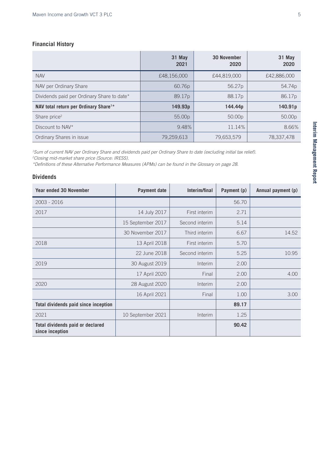#### **Financial History**

|                                                   | 31 May<br>2021     | <b>30 November</b><br>2020 | 31 May<br>2020 |
|---------------------------------------------------|--------------------|----------------------------|----------------|
| <b>NAV</b>                                        | £48,156,000        | £44,819,000                | £42,886,000    |
| NAV per Ordinary Share                            | 60.76 <sub>p</sub> | 56.27 <sub>p</sub>         | 54.74p         |
| Dividends paid per Ordinary Share to date*        | 89.17 <sub>p</sub> | 88.17 <sub>p</sub>         | 86.17p         |
| NAV total return per Ordinary Share <sup>1*</sup> | 149.93p            | 144.44p                    | 140.91p        |
| Share price <sup>2</sup>                          | 55.00 <sub>p</sub> | 50.00 <sub>p</sub>         | 50.00p         |
| Discount to NAV*                                  | 9.48%              | 11.14%                     | 8.66%          |
| Ordinary Shares in issue                          | 79,259,613         | 79,653,579                 | 78,337,478     |

*1 Sum of current NAV per Ordinary Share and dividends paid per Ordinary Share to date (excluding initial tax relief). 2 Closing mid-market share price (Source: IRESS).*

*\*Definitions of these Alternative Performance Measures (APMs) can be found in the Glossary on page 28.*

#### **Dividends**

| <b>Year ended 30 November</b>                       | Payment date      | Interim/final  | Payment (p) | Annual payment (p) |
|-----------------------------------------------------|-------------------|----------------|-------------|--------------------|
| $2003 - 2016$                                       |                   |                | 56.70       |                    |
| 2017                                                | 14 July 2017      | First interim  | 2.71        |                    |
|                                                     | 15 September 2017 | Second interim | 5.14        |                    |
|                                                     | 30 November 2017  | Third interim  | 6.67        | 14.52              |
| 2018                                                | 13 April 2018     | First interim  | 5.70        |                    |
|                                                     | 22 June 2018      | Second interim | 5.25        | 10.95              |
| 2019                                                | 30 August 2019    | Interim        | 2.00        |                    |
|                                                     | 17 April 2020     | Final          | 2.00        | 4.00               |
| 2020                                                | 28 August 2020    | Interim        | 2.00        |                    |
|                                                     | 16 April 2021     | Final          | 1.00        | 3.00               |
| Total dividends paid since inception                |                   |                | 89.17       |                    |
| 2021                                                | 10 September 2021 | Interim        | 1.25        |                    |
| Total dividends paid or declared<br>since inception |                   |                | 90.42       |                    |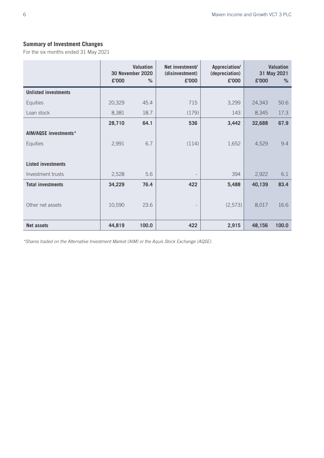### **Summary of Investment Changes**

For the six months ended 31 May 2021

|                              | £'000  | <b>Valuation</b><br><b>30 November 2020</b><br>$\%$ | Net investment/<br>(disinvestment)<br>£'000 | Appreciation/<br>(depreciation)<br>£'000 | £'000  | <b>Valuation</b><br>31 May 2021<br>% |
|------------------------------|--------|-----------------------------------------------------|---------------------------------------------|------------------------------------------|--------|--------------------------------------|
| <b>Unlisted investments</b>  |        |                                                     |                                             |                                          |        |                                      |
| Equities                     | 20,329 | 45.4                                                | 715                                         | 3,299                                    | 24,343 | 50.6                                 |
| Loan stock                   | 8,381  | 18.7                                                | (179)                                       | 143                                      | 8,345  | 17.3                                 |
|                              | 28,710 | 64.1                                                | 536                                         | 3,442                                    | 32,688 | 67.9                                 |
| <b>AIM/AQSE investments*</b> |        |                                                     |                                             |                                          |        |                                      |
| Equities                     | 2,991  | 6.7                                                 | (114)                                       | 1,652                                    | 4,529  | 9.4                                  |
|                              |        |                                                     |                                             |                                          |        |                                      |
| <b>Listed investments</b>    |        |                                                     |                                             |                                          |        |                                      |
| Investment trusts            | 2,528  | 5.6                                                 | $\overline{\phantom{a}}$                    | 394                                      | 2,922  | 6.1                                  |
| <b>Total investments</b>     | 34,229 | 76.4                                                | 422                                         | 5,488                                    | 40,139 | 83.4                                 |
|                              |        |                                                     |                                             |                                          |        |                                      |
| Other net assets             | 10,590 | 23.6                                                | $\qquad \qquad -$                           | (2, 573)                                 | 8,017  | 16.6                                 |
|                              |        |                                                     |                                             |                                          |        |                                      |
| <b>Net assets</b>            | 44,819 | 100.0                                               | 422                                         | 2,915                                    | 48,156 | 100.0                                |

*\*Shares traded on the Alternative Investment Market (AIM) or the Aquis Stock Exchange (AQSE).*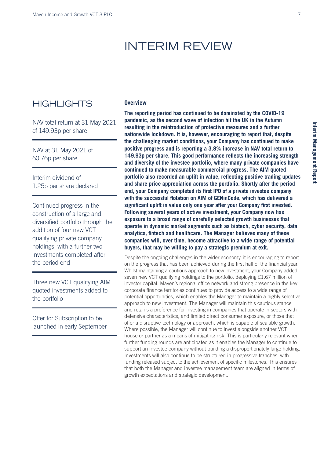### INTERIM REVIEW

### **HIGHLIGHTS**

NAV total return at 31 May 2021 of 149.93p per share

NAV at 31 May 2021 of 60.76p per share

Interim dividend of 1.25p per share declared

Continued progress in the construction of a large and diversified portfolio through the addition of four new VCT qualifying private company holdings, with a further two investments completed after the period end

Three new VCT qualifying AIM quoted investments added to the portfolio

Offer for Subscription to be launched in early September

#### **Overview**

**The reporting period has continued to be dominated by the COVID-19 pandemic, as the second wave of infection hit the UK in the Autumn resulting in the reintroduction of protective measures and a further nationwide lockdown. It is, however, encouraging to report that, despite the challenging market conditions, your Company has continued to make positive progress and is reporting a 3.8% increase in NAV total return to 149.93p per share. This good performance reflects the increasing strength and diversity of the investee portfolio, where many private companies have continued to make measurable commercial progress. The AIM quoted portfolio also recorded an uplift in value, reflecting positive trading updates and share price appreciation across the portfolio. Shortly after the period end, your Company completed its first IPO of a private investee company with the successful flotation on AIM of GENinCode, which has delivered a significant uplift in value only one year after your Company first invested. Following several years of active investment, your Company now has exposure to a broad range of carefully selected growth businesses that operate in dynamic market segments such as biotech, cyber security, data analytics, fintech and healthcare. The Manager believes many of these companies will, over time, become attractive to a wide range of potential buyers, that may be willing to pay a strategic premium at exit.** 

Despite the ongoing challenges in the wider economy, it is encouraging to report on the progress that has been achieved during the first half of the financial year. Whilst maintaining a cautious approach to new investment, your Company added seven new VCT qualifying holdings to the portfolio, deploying £1.67 million of investor capital. Maven's regional office network and strong presence in the key corporate finance territories continues to provide access to a wide range of potential opportunities, which enables the Manager to maintain a highly selective approach to new investment. The Manager will maintain this cautious stance and retains a preference for investing in companies that operate in sectors with defensive characteristics, and limited direct consumer exposure, or those that offer a disruptive technology or approach, which is capable of scalable growth. Where possible, the Manager will continue to invest alongside another VCT house or partner as a means of mitigating risk. This is particularly relevant when further funding rounds are anticipated as it enables the Manager to continue to support an investee company without building a disproportionately large holding. Investments will also continue to be structured in progressive tranches, with funding released subject to the achievement of specific milestones. This ensures that both the Manager and investee management team are aligned in terms of growth expectations and strategic development.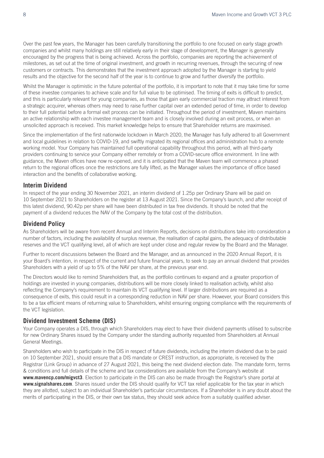Over the past few years, the Manager has been carefully transitioning the portfolio to one focused on early stage growth companies and whilst many holdings are still relatively early in their stage of development, the Manager is generally encouraged by the progress that is being achieved. Across the portfolio, companies are reporting the achievement of milestones, as set out at the time of original investment, and growth in recurring revenues, through the securing of new customers or contracts. This demonstrates that the investment approach adopted by the Manager is starting to yield results and the objective for the second half of the year is to continue to grow and further diversify the portfolio.

Whilst the Manager is optimistic in the future potential of the portfolio, it is important to note that it may take time for some of these investee companies to achieve scale and for full value to be optimised. The timing of exits is difficult to predict, and this is particularly relevant for young companies, as those that gain early commercial traction may attract interest from a strategic acquirer, whereas others may need to raise further capital over an extended period of time, in order to develop to their full potential before a formal exit process can be initiated. Throughout the period of investment, Maven maintains an active relationship with each investee management team and is closely involved during an exit process, or when an unsolicited approach is received. This market knowledge helps to ensure that Shareholder returns are maximised.

Since the implementation of the first nationwide lockdown in March 2020, the Manager has fully adhered to all Government and local guidelines in relation to COVID-19, and swiftly migrated its regional offices and administration hub to a remote working model. Your Company has maintained full operational capability throughout this period, with all third-party providers continuing to service your Company either remotely or from a COVID-secure office environment. In line with guidance, the Maven offices have now re-opened, and it is anticipated that the Maven team will commence a phased return to the regional offices once the restrictions are fully lifted, as the Manager values the importance of office based interaction and the benefits of collaborative working.

#### **Interim Dividend**

In respect of the year ending 30 November 2021, an interim dividend of 1.25p per Ordinary Share will be paid on 10 September 2021 to Shareholders on the register at 13 August 2021. Since the Company's launch, and after receipt of this latest dividend, 90.42p per share will have been distributed in tax free dividends. It should be noted that the payment of a dividend reduces the NAV of the Company by the total cost of the distribution.

#### **Dividend Policy**

As Shareholders will be aware from recent Annual and Interim Reports, decisions on distributions take into consideration a number of factors, including the availability of surplus revenue, the realisation of capital gains, the adequacy of distributable reserves and the VCT qualifying level, all of which are kept under close and regular review by the Board and the Manager.

Further to recent discussions between the Board and the Manager, and as announced in the 2020 Annual Report, it is your Board's intention, in respect of the current and future financial years, to seek to pay an annual dividend that provides Shareholders with a yield of up to 5% of the NAV per share, at the previous year end.

The Directors would like to remind Shareholders that, as the portfolio continues to expand and a greater proportion of holdings are invested in young companies, distributions will be more closely linked to realisation activity, whilst also reflecting the Company's requirement to maintain its VCT qualifying level. If larger distributions are required as a consequence of exits, this could result in a corresponding reduction in NAV per share. However, your Board considers this to be a tax efficient means of returning value to Shareholders, whilst ensuring ongoing compliance with the requirements of the VCT legislation.

#### **Dividend Investment Scheme (DIS)**

Your Company operates a DIS, through which Shareholders may elect to have their dividend payments utilised to subscribe for new Ordinary Shares issued by the Company under the standing authority requested from Shareholders at Annual General Meetings.

Shareholders who wish to participate in the DIS in respect of future dividends, including the interim dividend due to be paid on 10 September 2021, should ensure that a DIS mandate or CREST instruction, as appropriate, is received by the Registrar (Link Group) in advance of 27 August 2021, this being the next dividend election date. The mandate form, terms & conditions and full details of the scheme and tax considerations are available from the Company's website at **www.mavencp.com/migvct3**. Election to participate in the DIS can also be made through the Registrar's share portal at **www.signalshares.com**. Shares issued under the DIS should qualify for VCT tax relief applicable for the tax year in which they are allotted, subject to an individual Shareholder's particular circumstances. If a Shareholder is in any doubt about the merits of participating in the DIS, or their own tax status, they should seek advice from a suitably qualified adviser.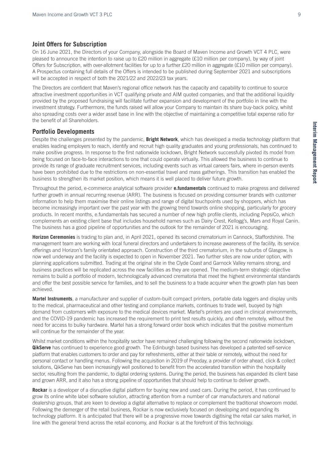#### **Joint Offers for Subscription**

On 16 June 2021, the Directors of your Company, alongside the Board of Maven Income and Growth VCT 4 PLC, were pleased to announce the intention to raise up to £20 million in aggregate (£10 million per company), by way of joint Offers for Subscription, with over-allotment facilities for up to a further £20 million in aggregate (£10 million per company). A Prospectus containing full details of the Offers is intended to be published during September 2021 and subscriptions will be accepted in respect of both the 2021/22 and 2022/23 tax years.

The Directors are confident that Maven's regional office network has the capacity and capability to continue to source attractive investment opportunities in VCT qualifying private and AIM quoted companies, and that the additional liquidity provided by the proposed fundraising will facilitate further expansion and development of the portfolio in line with the investment strategy. Furthermore, the funds raised will allow your Company to maintain its share buy-back policy, whilst also spreading costs over a wider asset base in line with the objective of maintaining a competitive total expense ratio for the benefit of all Shareholders.

#### **Portfolio Developments**

Despite the challenges presented by the pandemic, **Bright Network**, which has developed a media technology platform that enables leading employers to reach, identify and recruit high quality graduates and young professionals, has continued to make positive progress. In response to the first nationwide lockdown, Bright Network successfully pivoted its model from being focused on face-to-face interactions to one that could operate virtually. This allowed the business to continue to provide its range of graduate recruitment services, including events such as virtual careers fairs, where in-person events have been prohibited due to the restrictions on non-essential travel and mass gatherings. This transition has enabled the business to strengthen its market position, which means it is well placed to deliver future growth.

Throughout the period, e-commerce analytical software provider **e.fundamentals** continued to make progress and delivered further growth in annual recurring revenue (ARR). The business is focused on providing consumer brands with customer information to help them maximise their online listings and range of digital touchpoints used by shoppers, which has become increasingly important over the past year with the growing trend towards online shopping, particularly for grocery products. In recent months, e.fundamentals has secured a number of new high profile clients, including PepsiCo, which complements an existing client base that includes household names such as Dairy Crest, Kellogg's, Mars and Royal Canin. The business has a good pipeline of opportunities and the outlook for the remainder of 2021 is encouraging.

**Horizon Ceremonies** is trading to plan and, in April 2021, opened its second crematorium in Cannock, Staffordshire. The management team are working with local funeral directors and undertakers to increase awareness of the facility, its service offerings and Horizon's family orientated approach. Construction of the third crematorium, in the suburbs of Glasgow, is now well underway and the facility is expected to open in November 2021. Two further sites are now under option, with planning applications submitted. Trading at the original site in the Clyde Coast and Garnock Valley remains strong, and business practices will be replicated across the new facilities as they are opened. The medium-term strategic objective remains to build a portfolio of modern, technologically advanced crematoria that meet the highest environmental standards and offer the best possible service for families, and to sell the business to a trade acquirer when the growth plan has been achieved.

**Martel Instruments**, a manufacturer and supplier of custom-built compact printers, portable data loggers and display units to the medical, pharmaceutical and other testing and compliance markets, continues to trade well, buoyed by high demand from customers with exposure to the medical devices market. Martel's printers are used in clinical environments, and the COVID-19 pandemic has increased the requirement to print test results quickly, and often remotely, without the need for access to bulky hardware. Martel has a strong forward order book which indicates that the positive momentum will continue for the remainder of the year.

Whilst market conditions within the hospitality sector have remained challenging following the second nationwide lockdown, **QikServe** has continued to experience good growth. The Edinburgh based business has developed a patented self-service platform that enables customers to order and pay for refreshments, either at their table or remotely, without the need for personal contact or handling menus. Following the acquisition in 2019 of Preoday, a provider of order ahead, click & collect solutions, QikServe has been increasingly well positioned to benefit from the accelerated transition within the hospitality sector, resulting from the pandemic, to digital ordering systems. During the period, the business has expanded its client base and grown ARR, and it also has a strong pipeline of opportunities that should help to continue to deliver growth.

**Rockar** is a developer of a disruptive digital platform for buying new and used cars. During the period, it has continued to grow its online white label software solution, attracting attention from a number of car manufacturers and national dealership groups, that are keen to develop a digital alternative to replace or complement the traditional showroom model. Following the demerger of the retail business, Rockar is now exclusively focused on developing and expanding its technology platform. It is anticipated that there will be a progressive move towards digitising the retail car sales market, in line with the general trend across the retail economy, and Rockar is at the forefront of this technology.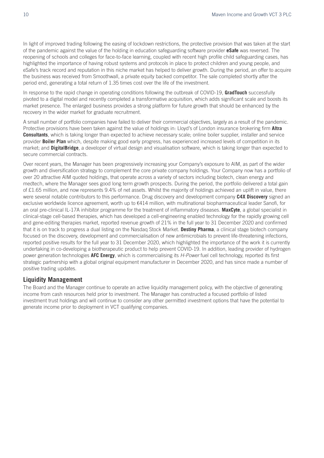In light of improved trading following the easing of lockdown restrictions, the protective provision that was taken at the start of the pandemic against the value of the holding in education safeguarding software provider **eSafe** was reversed. The reopening of schools and colleges for face-to-face learning, coupled with recent high profile child safeguarding cases, has highlighted the importance of having robust systems and protocols in place to protect children and young people, and eSafe's track record and reputation in this niche market has helped to deliver growth. During the period, an offer to acquire the business was received from Smoothwall, a private equity backed competitor. The sale completed shortly after the period end, generating a total return of 1.35 times cost over the life of the investment.

In response to the rapid change in operating conditions following the outbreak of COVID-19, **GradTouch** successfully pivoted to a digital model and recently completed a transformative acquisition, which adds significant scale and boosts its market presence. The enlarged business provides a strong platform for future growth that should be enhanced by the recovery in the wider market for graduate recruitment.

A small number of portfolio companies have failed to deliver their commercial objectives, largely as a result of the pandemic. Protective provisions have been taken against the value of holdings in: Lloyd's of London insurance brokering firm **Altra Consultants**, which is taking longer than expected to achieve necessary scale; online boiler supplier, installer and service provider **Boiler Plan** which, despite making good early progress, has experienced increased levels of competition in its market; and **DigitalBridge**, a developer of virtual design and visualisation software, which is taking longer than expected to secure commercial contracts.

Over recent years, the Manager has been progressively increasing your Company's exposure to AIM, as part of the wider growth and diversification strategy to complement the core private company holdings. Your Company now has a portfolio of over 20 attractive AIM quoted holdings, that operate across a variety of sectors including biotech, clean energy and medtech, where the Manager sees good long term growth prospects. During the period, the portfolio delivered a total gain of  $£1.65$  million, and now represents  $9.4\%$  of net assets. Whilst the majority of holdings achieved an uplift in value, there were several notable contributors to this performance. Drug discovery and development company **C4X Discovery** signed an exclusive worldwide licence agreement, worth up to €414 million, with multinational biopharmaceutical leader Sanofi, for an oral pre-clinical IL-17A inhibitor programme for the treatment of inflammatory diseases. **MaxCyte**, a global specialist in clinical-stage cell-based therapies, which has developed a cell-engineering enabled technology for the rapidly growing cell and gene-editing therapies market, reported revenue growth of 21% in the full year to 31 December 2020 and confirmed that it is on track to progress a dual listing on the Nasdaq Stock Market. **Destiny Pharma**, a clinical stage biotech company focused on the discovery, development and commercialisation of new antimicrobials to prevent life-threatening infections, reported positive results for the full year to 31 December 2020, which highlighted the importance of the work it is currently undertaking in co-developing a biotherapeutic product to help prevent COVID-19. In addition, leading provider of hydrogen power generation technologies **AFC Energy**, which is commercialising its *H-Power* fuel cell technology, reported its first strategic partnership with a global original equipment manufacturer in December 2020, and has since made a number of positive trading updates.

#### **Liquidity Management**

The Board and the Manager continue to operate an active liquidity management policy, with the objective of generating income from cash resources held prior to investment. The Manager has constructed a focused portfolio of listed investment trust holdings and will continue to consider any other permitted investment options that have the potential to generate income prior to deployment in VCT qualifying companies.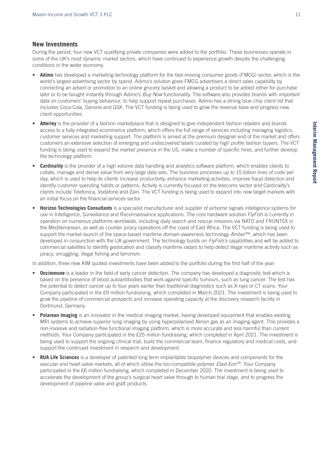#### **New Investments**

During the period, four new VCT qualifying private companies were added to the portfolio. These businesses operate in some of the UK's most dynamic market sectors, which have continued to experience growth despite the challenging conditions in the wider economy.

- **Adimo** has developed a marketing technology platform for the fast-moving consumer goods (FMCG) sector, which is the world's largest advertising sector by spend. Adimo's solution gives FMCG advertisers a direct sales capability by connecting an advert or promotion to an online grocery basket and allowing a product to be added either for purchase later or to be bought instantly through Adimo's *Buy Now* functionality. The software also provides brands with important data on customers' buying behaviour, to help support repeat purchases. Adimo has a strong blue chip client list that includes Coca-Cola, Danone and GSK. The VCT funding is being used to grow the revenue base and progress new client opportunities.
- Atterley is the provider of a fashion marketplace that is designed to give independent fashion retailers and brands access to a fully integrated ecommerce platform, which offers the full range of services including managing logistics, customer services and marketing support. The platform is aimed at the premium designer end of the market and offers customers an extensive selection of emerging and undiscovered labels curated by high profile fashion buyers. The VCT funding is being used to expand the market presence in the US, make a number of specific hires, and further develop the technology platform.
- **Cardinality** is the provider of a high volume data handling and analytics software platform, which enables clients to collate, manage and derive value from very large data sets. The business processes up to 15 billion lines of code per day, which is used to help its clients increase productivity, enhance marketing activities, improve fraud detection and identify customer spending habits or patterns. Activity is currently focused on the telecoms sector and Cardinality's clients include Telefonica, Vodafone and Zain. The VCT funding is being used to expand into new target markets with an initial focus on the financial services sector.
- **Horizon Technologies Consultants** is a specialist manufacturer and supplier of airborne signals intelligence systems for use in Intelligence, Surveillance and Reconnaissance applications. The core hardware solution *FlyFish* is currently in operation on numerous platforms worldwide, including daily search and rescue missions via NATO and FRONTEX in the Mediterranean, as well as counter piracy operations off the coast of East Africa. The VCT funding is being used to support the market launch of the space-based maritime domain awareness technology *Amber*™, which has been developed in conjunction with the UK government. The technology builds on *FlyFish's* capabilities and will be added to commercial satellites to identify geolocation and classify maritime radars to help detect illegal maritime activity such as piracy, smuggling, illegal fishing and terrorism.

In addition, three new AIM quoted investments have been added to the portfolio during the first half of the year:

- **Oncimmune** is a leader in the field of early cancer detection. The company has developed a diagnostic test which is based on the presence of blood autoantibodies that work against specific tumours, such as lung cancer. The test has the potential to detect cancer up to four years earlier than traditional diagnostics such as X-rays or CT scans. Your Company participated in the £9 million fundraising, which completed in March 2021. The investment is being used to grow the pipeline of commercial prospects and increase operating capacity at the discovery research facility in Dortmund, Germany.
- **Polarean Imaging** is an innovator in the medical imaging market, having developed equipment that enables existing MRI systems to achieve superior lung imaging by using hyperpolarised Xenon gas as an imaging agent. This provides a non-invasive and radiation-free functional imaging platform, which is more accurate and less harmful than current methods. Your Company participated in the £25 million fundraising, which completed in April 2021. The investment is being used to support the ongoing clinical trial, build the commercial team, finance regulatory and medical costs, and support the continued investment in research and development.
- **RUA Life Sciences** is a developer of patented long term implantable biopolymer devices and components for the vascular and heart valve markets, all of which utilise the bio-compatible polymer *Elast-Eon*TM. Your Company participated in the £6 million fundraising, which completed in December 2020. The investment is being used to accelerate the development of the group's surgical heart valve through to human trial stage, and to progress the development of pipeline valve and graft products.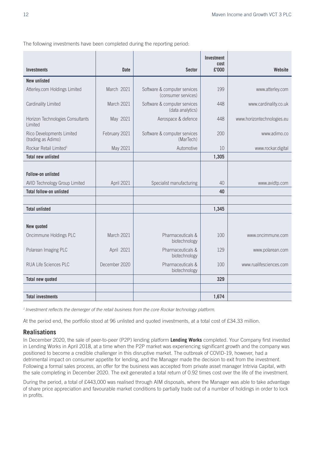The following investments have been completed during the reporting period:

|                                                 |               |                                                     | <b>Investment</b> |                            |
|-------------------------------------------------|---------------|-----------------------------------------------------|-------------------|----------------------------|
| <b>Investments</b>                              | <b>Date</b>   | <b>Sector</b>                                       | cost<br>£'000     | Website                    |
| <b>New unlisted</b>                             |               |                                                     |                   |                            |
| Atterley.com Holdings Limited                   | March 2021    | Software & computer services<br>(consumer services) | 199               | www.atterley.com           |
| Cardinality Limited                             | March 2021    | Software & computer services<br>(data analytics)    | 448               | www.cardinality.co.uk      |
| Horizon Technologies Consultants<br>Limited     | May 2021      | Aerospace & defence                                 | 448               | www.horizontechnologies.eu |
| Rico Developments Limited<br>(trading as Adimo) | February 2021 | Software & computer services<br>(MarTech)           | 200               | www.adimo.co               |
| Rockar Retail Limited <sup>1</sup>              | May 2021      | Automotive                                          | 10                | www.rockar.digital         |
| <b>Total new unlisted</b>                       |               |                                                     | 1,305             |                            |
| <b>Follow-on unlisted</b>                       |               |                                                     |                   |                            |
| AVID Technology Group Limited                   | April 2021    | Specialist manufacturing                            | 40                | www.avidtp.com             |
| <b>Total follow-on unlisted</b>                 |               |                                                     | 40                |                            |
|                                                 |               |                                                     |                   |                            |
| <b>Total unlisted</b>                           |               |                                                     | 1,345             |                            |
| New quoted                                      |               |                                                     |                   |                            |
| Oncimmune Holdings PLC                          | March 2021    | Pharmaceuticals &<br>biotechnology                  | 100               | www.oncimmune.com          |
| Polarean Imaging PLC                            | April 2021    | Pharmaceuticals &<br>biotechnology                  | 129               | www.polarean.com           |
| RUA Life Sciences PLC                           | December 2020 | Pharmaceuticals &<br>biotechnology                  | 100               | www.rualifesciences.com    |
| <b>Total new quoted</b>                         |               |                                                     | 329               |                            |
|                                                 |               |                                                     |                   |                            |
| <b>Total investments</b>                        |               |                                                     | 1,674             |                            |

*1 Investment reflects the demerger of the retail business from the core Rockar technology platform.*

At the period end, the portfolio stood at 96 unlisted and quoted investments, at a total cost of £34.33 million.

#### **Realisations**

In December 2020, the sale of peer-to-peer (P2P) lending platform **Lending Works** completed. Your Company first invested in Lending Works in April 2018, at a time when the P2P market was experiencing significant growth and the company was positioned to become a credible challenger in this disruptive market. The outbreak of COVID-19, however, had a detrimental impact on consumer appetite for lending, and the Manager made the decision to exit from the investment. Following a formal sales process, an offer for the business was accepted from private asset manager Intrivia Capital, with the sale completing in December 2020. The exit generated a total return of 0.92 times cost over the life of the investment.

During the period, a total of £443,000 was realised through AIM disposals, where the Manager was able to take advantage of share price appreciation and favourable market conditions to partially trade out of a number of holdings in order to lock in profits.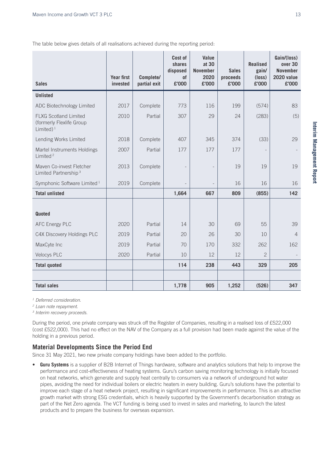The table below gives details of all realisations achieved during the reporting period:

| <b>Sales</b>                                                              | <b>Year first</b><br>invested | Complete/<br>partial exit | Cost of<br>shares<br>disposed<br>of<br>£'000 | Value<br>at 30<br><b>November</b><br>2020<br>£'000 | <b>Sales</b><br>proceeds<br>£'000 | <b>Realised</b><br>gain/<br>$(\text{loss})$<br>£'000 | Gain/(loss)<br>over 30<br><b>November</b><br>2020 value<br>£'000 |
|---------------------------------------------------------------------------|-------------------------------|---------------------------|----------------------------------------------|----------------------------------------------------|-----------------------------------|------------------------------------------------------|------------------------------------------------------------------|
| <b>Unlisted</b>                                                           |                               |                           |                                              |                                                    |                                   |                                                      |                                                                  |
| ADC Biotechnology Limited                                                 | 2017                          | Complete                  | 773                                          | 116                                                | 199                               | (574)                                                | 83                                                               |
| <b>FLXG Scotland Limited</b><br>(formerly Flexlife Group<br>Limited $)^1$ | 2010                          | Partial                   | 307                                          | 29                                                 | 24                                | (283)                                                | (5)                                                              |
| Lending Works Limited                                                     | 2018                          | Complete                  | 407                                          | 345                                                | 374                               | (33)                                                 | 29                                                               |
| Martel Instruments Holdings<br>Limited <sup>2</sup>                       | 2007                          | Partial                   | 177                                          | 177                                                | 177                               |                                                      |                                                                  |
| Maven Co-invest Fletcher<br>Limited Partnership <sup>3</sup>              | 2013                          | Complete                  |                                              |                                                    | 19                                | 19                                                   | 19                                                               |
| Symphonic Software Limited <sup>1</sup>                                   | 2019                          | Complete                  |                                              | $\overline{\phantom{m}}$                           | 16                                | 16                                                   | 16                                                               |
| <b>Total unlisted</b>                                                     |                               |                           | 1,664                                        | 667                                                | 809                               | (855)                                                | 142                                                              |
| <b>Quoted</b>                                                             |                               |                           |                                              |                                                    |                                   |                                                      |                                                                  |
| <b>AFC Energy PLC</b>                                                     | 2020                          | Partial                   | 14                                           | 30                                                 | 69                                | 55                                                   | 39                                                               |
| C4X Discovery Holdings PLC                                                | 2019                          | Partial                   | 20                                           | 26                                                 | 30                                | 10                                                   | $\overline{4}$                                                   |
| MaxCyte Inc                                                               | 2019                          | Partial                   | 70                                           | 170                                                | 332                               | 262                                                  | 162                                                              |
| <b>Velocys PLC</b>                                                        | 2020                          | Partial                   | 10                                           | 12                                                 | 12                                | $\overline{2}$                                       |                                                                  |
| <b>Total quoted</b>                                                       |                               |                           | 114                                          | 238                                                | 443                               | 329                                                  | 205                                                              |
|                                                                           |                               |                           |                                              |                                                    |                                   |                                                      |                                                                  |
| <b>Total sales</b>                                                        |                               |                           | 1,778                                        | 905                                                | 1,252                             | (526)                                                | 347                                                              |

*1 Deferred consideration.*

*2 Loan note repayment.*

*3 Interim recovery proceeds.*

During the period, one private company was struck off the Register of Companies, resulting in a realised loss of £522,000 (cost £522,000). This had no effect on the NAV of the Company as a full provision had been made against the value of the holding in a previous period.

#### **Material Developments Since the Period End**

Since 31 May 2021, two new private company holdings have been added to the portfolio.

Guru Systems is a supplier of B2B Internet of Things hardware, software and analytics solutions that help to improve the performance and cost-effectiveness of heating systems. Guru's carbon saving monitoring technology is initially focused on heat networks, which generate and supply heat centrally to consumers via a network of underground hot water pipes, avoiding the need for individual boilers or electric heaters in every building. Guru's solutions have the potential to improve each stage of a heat network project, resulting in significant improvements in performance. This is an attractive growth market with strong ESG credentials, which is heavily supported by the Government's decarbonisation strategy as part of the Net Zero agenda. The VCT funding is being used to invest in sales and marketing, to launch the latest products and to prepare the business for overseas expansion.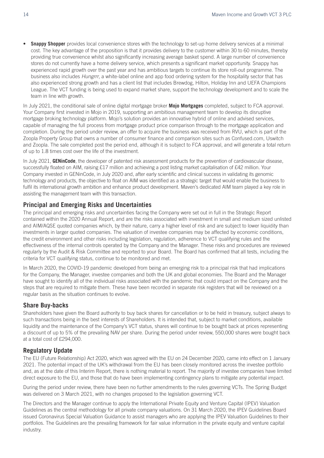• **Snappy Shopper** provides local convenience stores with the technology to set-up home delivery services at a minimal cost. The key advantage of the proposition is that it provides delivery to the customer within 30 to 60 minutes, thereby providing true convenience whilst also significantly increasing average basket spend. A large number of convenience stores do not currently have a home delivery service, which presents a significant market opportunity. Snappy has experienced rapid growth over the past year and has ambitious targets to continue its store roll-out programme. The business also includes *Hungrrr*, a white-label online and app food ordering system for the hospitality sector that has also experienced strong growth and has a client list that includes Brewdog, Hilton, Holiday Inn and UEFA Champions League. The VCT funding is being used to expand market share, support the technology development and to scale the team in line with growth.

In July 2021, the conditional sale of online digital mortgage broker **Mojo Mortgages** completed, subject to FCA approval. Your Company first invested in Mojo in 2019, supporting an ambitious management team to develop its disruptive mortgage broking technology platform. Mojo's solution provides an innovative hybrid of online and advised services, capable of managing the full process from mortgage product price comparison through to the mortgage application and completion. During the period under review, an offer to acquire the business was received from RVU, which is part of the Zoopla Property Group that owns a number of consumer finance and comparison sites such as Confused.com, Uswitch and Zoopla. The sale completed post the period end, although it is subject to FCA approval, and will generate a total return of up to 1.8 times cost over the life of the investment.

In July 2021, **GENinCode**, the developer of patented risk assessment products for the prevention of cardiovascular disease, successfully floated on AIM, raising £17 million and achieving a post listing market capitalisation of £42 million. Your Company invested in GENinCode, in July 2020 and, after early scientific and clinical success in validating its genomic technology and products, the objective to float on AIM was identified as a strategic target that would enable the business to fulfil its international growth ambition and enhance product development. Maven's dedicated AIM team played a key role in assisting the management team with this transaction.

#### **Principal and Emerging Risks and Uncertainties**

The principal and emerging risks and uncertainties facing the Company were set out in full in the Strategic Report contained within the 2020 Annual Report, and are the risks associated with investment in small and medium sized unlisted and AIM/AQSE quoted companies which, by their nature, carry a higher level of risk and are subject to lower liquidity than investments in larger quoted companies. The valuation of investee companies may be affected by economic conditions, the credit environment and other risks including legislation, regulation, adherence to VCT qualifying rules and the effectiveness of the internal controls operated by the Company and the Manager. These risks and procedures are reviewed regularly by the Audit & Risk Committee and reported to your Board. The Board has confirmed that all tests, including the criteria for VCT qualifying status, continue to be monitored and met.

In March 2020, the COVID-19 pandemic developed from being an emerging risk to a principal risk that had implications for the Company, the Manager, investee companies and both the UK and global economies. The Board and the Manager have sought to identify all of the individual risks associated with the pandemic that could impact on the Company and the steps that are required to mitigate them. These have been recorded in separate risk registers that will be reviewed on a regular basis as the situation continues to evolve.

#### **Share Buy-backs**

Shareholders have given the Board authority to buy back shares for cancellation or to be held in treasury, subject always to such transactions being in the best interests of Shareholders. It is intended that, subject to market conditions, available liquidity and the maintenance of the Company's VCT status, shares will continue to be bought back at prices representing a discount of up to 5% of the prevailing NAV per share. During the period under review, 550,000 shares were bought back at a total cost of £294,000.

#### **Regulatory Update**

The EU (Future Relationship) Act 2020, which was agreed with the EU on 24 December 2020, came into effect on 1 January 2021. The potential impact of the UK's withdrawal from the EU has been closely monitored across the investee portfolio and, as at the date of this Interim Report, there is nothing material to report. The majority of investee companies have limited direct exposure to the EU, and those that do have been implementing contingency plans to mitigate any potential impact.

During the period under review, there have been no further amendments to the rules governing VCTs. The Spring Budget was delivered on 3 March 2021, with no changes proposed to the legislation governing VCT.

The Directors and the Manager continue to apply the International Private Equity and Venture Capital (IPEV) Valuation Guidelines as the central methodology for all private company valuations. On 31 March 2020, the IPEV Guidelines Board issued Coronavirus Special Valuation Guidance to assist managers who are applying the IPEV Valuation Guidelines to their portfolios. The Guidelines are the prevailing framework for fair value information in the private equity and venture capital industry.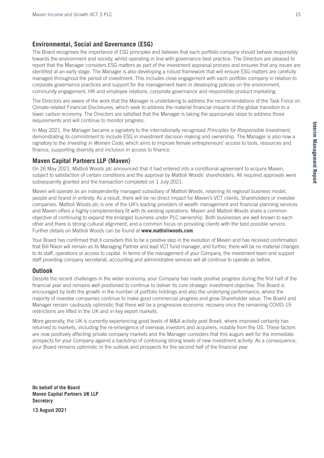#### **Environmental, Social and Governance (ESG)**

The Board recognises the importance of ESG principles and believes that each portfolio company should behave responsibly towards the environment and society, whilst operating in line with governance best practice. The Directors are pleased to report that the Manager considers ESG matters as part of the investment appraisal process and ensures that any issues are identified at an early stage. The Manager is also developing a robust framework that will ensure ESG matters are carefully managed throughout the period of investment. This includes close engagement with each portfolio company in relation to corporate governance practices and support for the management team in developing policies on the environment, community engagement, HR and employee relations, corporate governance and responsible product marketing.

The Directors are aware of the work that the Manager is undertaking to address the recommendations of the Task Force on Climate-related Financial Disclosures, which seek to address the material financial impacts of the global transition to a lower carbon economy. The Directors are satisfied that the Manager is taking the appropriate steps to address those requirements and will continue to monitor progress.

In May 2021, the Manager became a signatory to the internationally recognised *Principles for Responsible Investment*, demonstrating its commitment to include ESG in investment decision making and ownership. The Manager is also now a signatory to the *Investing in Women Code*, which aims to improve female entrepreneurs' access to tools, resources and finance, supporting diversity and inclusion in access to finance.

#### **Maven Capital Partners LLP (Maven)**

On 26 May 2021, Mattioli Woods plc announced that it had entered into a conditional agreement to acquire Maven, subject to satisfaction of certain conditions and the approval by Mattioli Woods' shareholders. All required approvals were subsequently granted and the transaction completed on 1 July 2021.

Maven will operate as an independently managed subsidiary of Mattioli Woods, retaining its regional business model, people and brand in entirety. As a result, there will be no direct impact for Maven's VCT clients, Shareholders or investee companies. Mattioli Woods plc is one of the UK's leading providers of wealth management and financial planning services and Maven offers a highly complementary fit with its existing operations. Maven and Mattioli Woods share a common objective of continuing to expand the enlarged business under PLC ownership. Both businesses are well known to each other and there is strong cultural alignment, and a common focus on providing clients with the best possible service. Further details on Mattioli Woods can be found at **www.mattioliwoods.com**.

Your Board has confirmed that it considers this to be a positive step in the evolution of Maven and has received confirmation that Bill Nixon will remain as its Managing Partner and lead VCT fund manager, and further, there will be no material changes to its staff, operations or access to capital. In terms of the management of your Company, the investment team and support staff providing company secretarial, accounting and administrative services will all continue to operate as before.

#### **Outlook**

Despite the recent challenges in the wider economy, your Company has made positive progress during the first half of the financial year and remains well positioned to continue to deliver its core strategic investment objective. The Board is encouraged by both the growth in the number of portfolio holdings and also the underlying performance, where the majority of investee companies continue to make good commercial progress and grow Shareholder value. The Board and Manager remain cautiously optimistic that there will be a progressive economic recovery once the remaining COVID-19 restrictions are lifted in the UK and in key export markets.

More generally, the UK is currently experiencing good levels of M&A activity post Brexit, where improved certainty has returned to markets, including the re-emergence of overseas investors and acquirers, notably from the US. These factors are now positively affecting private company markets and the Manager considers that this augurs well for the immediate prospects for your Company against a backdrop of continuing strong levels of new investment activity. As a consequence, your Board remains optimistic in the outlook and prospects for the second half of the financial year.

**On behalf of the Board Maven Capital Partners UK LLP Secretary**

**13 August 2021**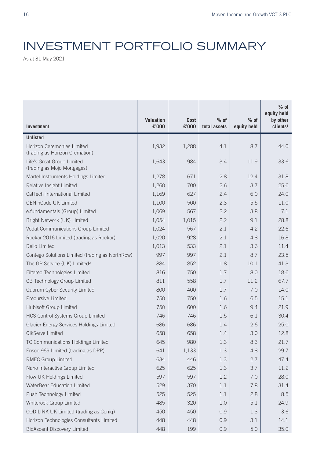# INVESTMENT PORTFOLIO SUMMARY

As at 31 May 2021

|                                                              | <b>Valuation</b> | <b>Cost</b> | $%$ of       | $%$ of      | $%$ of<br>equity held<br>by other |
|--------------------------------------------------------------|------------------|-------------|--------------|-------------|-----------------------------------|
| <b>Investment</b>                                            | £'000            | £'000       | total assets | equity held | clients <sup>1</sup>              |
| <b>Unlisted</b>                                              |                  |             |              |             |                                   |
| Horizon Ceremonies Limited<br>(trading as Horizon Cremation) | 1,932            | 1,288       | 4.1          | 8.7         | 44.0                              |
| Life's Great Group Limited<br>(trading as Mojo Mortgages)    | 1,643            | 984         | 3.4          | 11.9        | 33.6                              |
| Martel Instruments Holdings Limited                          | 1,278            | 671         | 2.8          | 12.4        | 31.8                              |
| Relative Insight Limited                                     | 1,260            | 700         | 2.6          | 3.7         | 25.6                              |
| CatTech International Limited                                | 1,169            | 627         | 2.4          | 6.0         | 24.0                              |
| <b>GENinCode UK Limited</b>                                  | 1,100            | 500         | 2.3          | 5.5         | 11.0                              |
| e.fundamentals (Group) Limited                               | 1,069            | 567         | 2.2          | 3.8         | 7.1                               |
| Bright Network (UK) Limited                                  | 1,054            | 1,015       | 2.2          | 9.1         | 28.8                              |
| Vodat Communications Group Limited                           | 1,024            | 567         | 2.1          | 4.2         | 22.6                              |
| Rockar 2016 Limited (trading as Rockar)                      | 1,020            | 928         | 2.1          | 4.8         | 16.8                              |
| Delio Limited                                                | 1,013            | 533         | 2.1          | 3.6         | 11.4                              |
| Contego Solutions Limited (trading as NorthRow)              | 997              | 997         | 2.1          | 8.7         | 23.5                              |
| The GP Service (UK) Limited <sup>2</sup>                     | 884              | 852         | 1.8          | 10.1        | 41.3                              |
| Filtered Technologies Limited                                | 816              | 750         | 1.7          | 8.0         | 18.6                              |
| CB Technology Group Limited                                  | 811              | 558         | 1.7          | 11.2        | 67.7                              |
| Quorum Cyber Security Limited                                | 800              | 400         | 1.7          | 7.0         | 14.0                              |
| <b>Precursive Limited</b>                                    | 750              | 750         | 1.6          | 6.5         | 15.1                              |
| Hublsoft Group Limited                                       | 750              | 600         | 1.6          | 9.4         | 21.9                              |
| <b>HCS Control Systems Group Limited</b>                     | 746              | 746         | 1.5          | 6.1         | 30.4                              |
| Glacier Energy Services Holdings Limited                     | 686              | 686         | 1.4          | 2.6         | 25.0                              |
| QikServe Limited                                             | 658              | 658         | 1.4          | 3.0         | 12.8                              |
| TC Communications Holdings Limited                           | 645              | 980         | 1.3          | 8.3         | 21.7                              |
| Ensco 969 Limited (trading as DPP)                           | 641              | 1,133       | 1.3          | 4.8         | 29.7                              |
| <b>RMEC Group Limited</b>                                    | 634              | 446         | 1.3          | 2.7         | 47.4                              |
| Nano Interactive Group Limited                               | 625              | 625         | 1.3          | 3.7         | 11.2                              |
| Flow UK Holdings Limited                                     | 597              | 597         | 1.2          | 7.0         | 28.0                              |
| WaterBear Education Limited                                  | 529              | 370         | 1.1          | 7.8         | 31.4                              |
| Push Technology Limited                                      | 525              | 525         | 1.1          | 2.8         | 8.5                               |
| Whiterock Group Limited                                      | 485              | 320         | 1.0          | 5.1         | 24.9                              |
| CODILINK UK Limited (trading as Coniq)                       | 450              | 450         | 0.9          | 1.3         | 3.6                               |
| Horizon Technologies Consultants Limited                     | 448              | 448         | 0.9          | 3.1         | 14.1                              |
| <b>BioAscent Discovery Limited</b>                           | 448              | 199         | 0.9          | 5.0         | 35.0                              |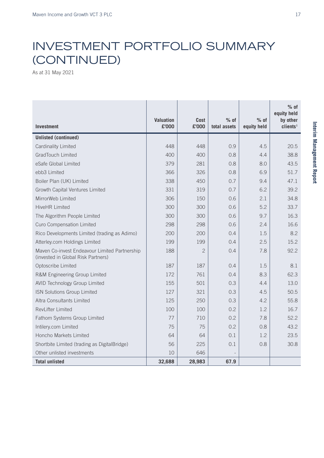### INVESTMENT PORTFOLIO SUMMARY (CONTINUED)

As at 31 May 2021

| <b>Investment</b>                                                                   | <b>Valuation</b><br>£'000 | <b>Cost</b><br>£'000 | $%$ of<br>total assets | $%$ of<br>equity held | $%$ of<br>equity held<br>by other<br>clients <sup>1</sup> |
|-------------------------------------------------------------------------------------|---------------------------|----------------------|------------------------|-----------------------|-----------------------------------------------------------|
| <b>Unlisted (continued)</b>                                                         |                           |                      |                        |                       |                                                           |
| Cardinality Limited                                                                 | 448                       | 448                  | 0.9                    | 4.5                   | 20.5                                                      |
| <b>GradTouch Limited</b>                                                            | 400                       | 400                  | 0.8                    | 4.4                   | 38.8                                                      |
| eSafe Global Limited                                                                | 379                       | 281                  | 0.8                    | 8.0                   | 43.5                                                      |
| ebb3 Limited                                                                        | 366                       | 326                  | 0.8                    | 6.9                   | 51.7                                                      |
| Boiler Plan (UK) Limited                                                            | 338                       | 450                  | 0.7                    | 9.4                   | 47.1                                                      |
| Growth Capital Ventures Limited                                                     | 331                       | 319                  | 0.7                    | 6.2                   | 39.2                                                      |
| MirrorWeb Limited                                                                   | 306                       | 150                  | 0.6                    | 2.1                   | 34.8                                                      |
| <b>HiveHR Limited</b>                                                               | 300                       | 300                  | 0.6                    | 5.2                   | 33.7                                                      |
| The Algorithm People Limited                                                        | 300                       | 300                  | 0.6                    | 9.7                   | 16.3                                                      |
| Curo Compensation Limited                                                           | 298                       | 298                  | 0.6                    | 2.4                   | 16.6                                                      |
| Rico Developments Limited (trading as Adimo)                                        | 200                       | 200                  | 0.4                    | 1.5                   | 8.2                                                       |
| Atterley.com Holdings Limited                                                       | 199                       | 199                  | 0.4                    | 2.5                   | 15.2                                                      |
| Maven Co-invest Endeavour Limited Partnership<br>(invested in Global Risk Partners) | 188                       | $\overline{2}$       | 0.4                    | 7.8                   | 92.2                                                      |
| Optoscribe Limited                                                                  | 187                       | 187                  | 0.4                    | 1.5                   | 8.1                                                       |
| R&M Engineering Group Limited                                                       | 172                       | 761                  | 0.4                    | 8.3                   | 62.3                                                      |
| <b>AVID Technology Group Limited</b>                                                | 155                       | 501                  | 0.3                    | 4.4                   | 13.0                                                      |
| ISN Solutions Group Limited                                                         | 127                       | 321                  | 0.3                    | 4.5                   | 50.5                                                      |
| Altra Consultants Limited                                                           | 125                       | 250                  | 0.3                    | 4.2                   | 55.8                                                      |
| RevLifter Limited                                                                   | 100                       | 100                  | 0.2                    | 1.2                   | 16.7                                                      |
| Fathom Systems Group Limited                                                        | 77                        | 710                  | 0.2                    | 7.8                   | 52.2                                                      |
| Intilery.com Limited                                                                | 75                        | 75                   | 0.2                    | 0.8                   | 43.2                                                      |
| Honcho Markets Limited                                                              | 64                        | 64                   | 0.1                    | 1.2                   | 23.5                                                      |
| Shortbite Limited (trading as DigitalBridge)                                        | 56                        | 225                  | 0.1                    | 0.8                   | 30.8                                                      |
| Other unlisted investments                                                          | 10                        | 646                  |                        |                       |                                                           |
| <b>Total unlisted</b>                                                               | 32,688                    | 28,983               | 67.9                   |                       |                                                           |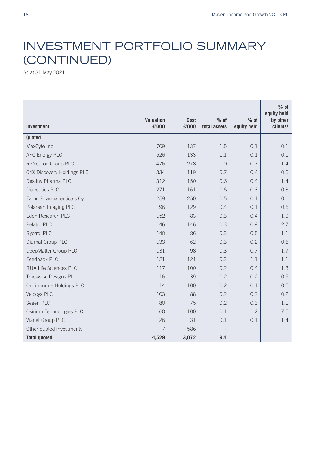## INVESTMENT PORTFOLIO SUMMARY (CONTINUED)

As at 31 May 2021

| <b>Investment</b>          | <b>Valuation</b><br>£'000 | <b>Cost</b><br>£'000 | $%$ of<br>total assets   | $%$ of<br>equity held | $%$ of<br>equity held<br>by other<br>clients <sup>1</sup> |
|----------------------------|---------------------------|----------------------|--------------------------|-----------------------|-----------------------------------------------------------|
| Quoted                     |                           |                      |                          |                       |                                                           |
| MaxCyte Inc                | 709                       | 137                  | 1.5                      | 0.1                   | 0.1                                                       |
| <b>AFC Energy PLC</b>      | 526                       | 133                  | 1.1                      | 0.1                   | 0.1                                                       |
| ReNeuron Group PLC         | 476                       | 278                  | 1.0                      | 0.7                   | 1.4                                                       |
| C4X Discovery Holdings PLC | 334                       | 119                  | 0.7                      | 0.4                   | 0.6                                                       |
| Destiny Pharma PLC         | 312                       | 150                  | 0.6                      | 0.4                   | 1.4                                                       |
| <b>Diaceutics PLC</b>      | 271                       | 161                  | 0.6                      | 0.3                   | 0.3                                                       |
| Faron Pharmaceuticals Oy   | 259                       | 250                  | 0.5                      | 0.1                   | 0.1                                                       |
| Polarean Imaging PLC       | 196                       | 129                  | 0.4                      | 0.1                   | 0.6                                                       |
| Eden Research PLC          | 152                       | 83                   | 0.3                      | 0.4                   | 1.0                                                       |
| Pelatro PLC                | 146                       | 146                  | 0.3                      | 0.9                   | 2.7                                                       |
| <b>Byotrol PLC</b>         | 140                       | 86                   | 0.3                      | 0.5                   | 1.1                                                       |
| Diurnal Group PLC          | 133                       | 62                   | 0.3                      | 0.2                   | 0.6                                                       |
| DeepMatter Group PLC       | 131                       | 98                   | 0.3                      | 0.7                   | 1.7                                                       |
| Feedback PLC               | 121                       | 121                  | 0.3                      | 1.1                   | 1.1                                                       |
| RUA Life Sciences PLC      | 117                       | 100                  | 0.2                      | 0.4                   | 1.3                                                       |
| Trackwise Designs PLC      | 116                       | 39                   | 0.2                      | 0.2                   | 0.5                                                       |
| Oncimmune Holdings PLC     | 114                       | 100                  | 0.2                      | 0.1                   | 0.5                                                       |
| <b>Velocys PLC</b>         | 103                       | 88                   | 0.2                      | 0.2                   | 0.2                                                       |
| Seeen PLC                  | 80                        | 75                   | 0.2                      | 0.3                   | 1.1                                                       |
| Osirium Technologies PLC   | 60                        | 100                  | 0.1                      | 1.2                   | 7.5                                                       |
| Vianet Group PLC           | 26                        | 31                   | 0.1                      | 0.1                   | 1.4                                                       |
| Other quoted investments   | 7                         | 586                  | $\overline{\phantom{m}}$ |                       |                                                           |
| <b>Total quoted</b>        | 4,529                     | 3,072                | 9.4                      |                       |                                                           |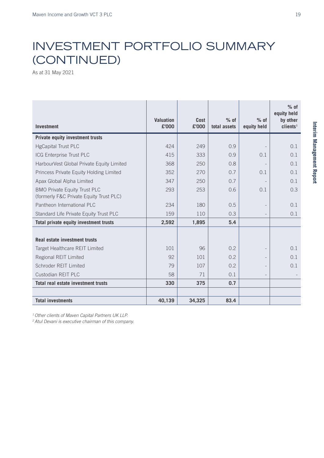# INVESTMENT PORTFOLIO SUMMARY (CONTINUED)

As at 31 May 2021

| <b>Investment</b>                                                              | Valuation<br>£'000 | <b>Cost</b><br>£'000 | $%$ of<br>total assets | $%$ of<br>equity held | $%$ of<br>equity held<br>by other<br>clients <sup>1</sup> |
|--------------------------------------------------------------------------------|--------------------|----------------------|------------------------|-----------------------|-----------------------------------------------------------|
| <b>Private equity investment trusts</b>                                        |                    |                      |                        |                       |                                                           |
| <b>HgCapital Trust PLC</b>                                                     | 424                | 249                  | 0.9                    |                       | 0.1                                                       |
| ICG Enterprise Trust PLC                                                       | 415                | 333                  | 0.9                    | 0.1                   | 0.1                                                       |
| HarbourVest Global Private Equity Limited                                      | 368                | 250                  | 0.8                    |                       | 0.1                                                       |
| Princess Private Equity Holding Limited                                        | 352                | 270                  | 0.7                    | 0.1                   | 0.1                                                       |
| Apax Global Alpha Limited                                                      | 347                | 250                  | 0.7                    |                       | 0.1                                                       |
| <b>BMO Private Equity Trust PLC</b><br>(formerly F&C Private Equity Trust PLC) | 293                | 253                  | 0.6                    | 0.1                   | 0.3                                                       |
| Pantheon International PLC                                                     | 234                | 180                  | 0.5                    |                       | 0.1                                                       |
| Standard Life Private Equity Trust PLC                                         | 159                | 110                  | 0.3                    |                       | 0.1                                                       |
| Total private equity investment trusts                                         | 2,592              | 1,895                | 5.4                    |                       |                                                           |
| Real estate investment trusts                                                  |                    |                      |                        |                       |                                                           |
| Target Healthcare REIT Limited                                                 | 101                | 96                   | 0.2                    |                       | 0.1                                                       |
| Regional REIT Limited                                                          | 92                 | 101                  | 0.2                    |                       | 0.1                                                       |
| Schroder REIT Limited                                                          | 79                 | 107                  | 0.2                    |                       | 0.1                                                       |
| Custodian REIT PLC                                                             | 58                 | 71                   | 0.1                    |                       |                                                           |
| Total real estate investment trusts                                            | 330                | 375                  | 0.7                    |                       |                                                           |
|                                                                                |                    |                      |                        |                       |                                                           |
| <b>Total investments</b>                                                       | 40,139             | 34,325               | 83.4                   |                       |                                                           |

*1 Other clients of Maven Capital Partners UK LLP.*

*2 Atul Devani is executive chairman of this company.*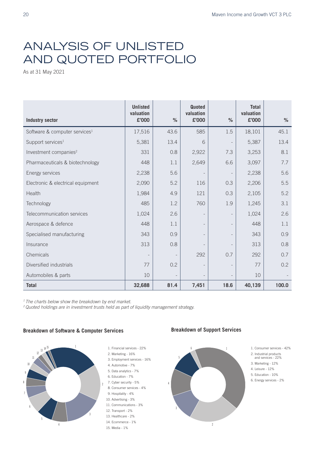### ANALYSIS OF UNLISTED AND QUOTED PORTFOLIO

As at 31 May 2021

| <b>Industry sector</b>                    | <b>Unlisted</b><br>valuation<br>£'000 | $\%$           | Quoted<br>valuation<br>£'000 | $\frac{9}{6}$ | <b>Total</b><br>valuation<br>£'000 | $\%$  |
|-------------------------------------------|---------------------------------------|----------------|------------------------------|---------------|------------------------------------|-------|
| Software & computer services <sup>1</sup> | 17,516                                | 43.6           | 585                          | 1.5           | 18,101                             | 45.1  |
| Support services <sup>1</sup>             | 5,381                                 | 13.4           | 6                            |               | 5,387                              | 13.4  |
| Investment companies <sup>2</sup>         | 331                                   | 0.8            | 2,922                        | 7.3           | 3,253                              | 8.1   |
| Pharmaceuticals & biotechnology           | 448                                   | 1.1            | 2,649                        | 6.6           | 3,097                              | 7.7   |
| Energy services                           | 2,238                                 | 5.6            | $\overline{\phantom{a}}$     |               | 2,238                              | 5.6   |
| Electronic & electrical equipment         | 2,090                                 | 5.2            | 116                          | 0.3           | 2,206                              | 5.5   |
| Health                                    | 1,984                                 | 4.9            | 121                          | 0.3           | 2,105                              | 5.2   |
| Technology                                | 485                                   | 1.2            | 760                          | 1.9           | 1,245                              | 3.1   |
| Telecommunication services                | 1,024                                 | 2.6            | $\overline{\phantom{a}}$     |               | 1,024                              | 2.6   |
| Aerospace & defence                       | 448                                   | 1.1            | $\overline{\phantom{a}}$     |               | 448                                | 1.1   |
| Specialised manufacturing                 | 343                                   | 0.9            | $\overline{\phantom{a}}$     |               | 343                                | 0.9   |
| Insurance                                 | 313                                   | 0.8            |                              |               | 313                                | 0.8   |
| Chemicals                                 |                                       |                | 292                          | 0.7           | 292                                | 0.7   |
| Diversified industrials                   | 77                                    | 0.2            | $\overline{\phantom{a}}$     |               | 77                                 | 0.2   |
| Automobiles & parts                       | 10                                    | $\overline{a}$ | $\overline{\phantom{a}}$     |               | 10                                 |       |
| <b>Total</b>                              | 32,688                                | 81.4           | 7,451                        | 18.6          | 40,139                             | 100.0 |

*1 The charts below show the breakdown by end market.*

*2 Quoted holdings are in investment trusts held as part of liquidity management strategy.*

#### **Breakdown of Software & Computer Services** Breakdown of Software **Breakdown of Support Services**



- 2. Marketing 16% 3. Employment services - 16% 4. Automotive - 7% 5. Data analytics - 7% 6. Education - 7%
- 7. Cyber security 5%
- 8. Consumer services 4%
- 9. Hospitality 4% 10. Advertising - 3%
- 11. Communications 3%
- 12. Transport 2%
- 13. Healthcare 2%
- 14. Ecommerce 1%
- 15. Media 1%



1. Consumer services - 42%

- 2. Industrial products and services 22%
- 3. Marketing 12%
- 4. Leisure 12%
- 5. Education 10%
- 6. Energy services 2%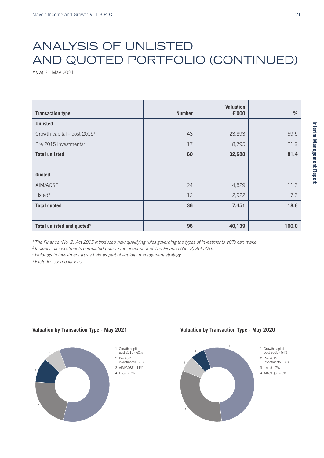# ANALYSIS OF UNLISTED AND QUOTED PORTFOLIO (CONTINUED)

As at 31 May 2021

| <b>Transaction type</b>                 | <b>Number</b> | <b>Valuation</b><br>£'000 | $\%$  |
|-----------------------------------------|---------------|---------------------------|-------|
| <b>Unlisted</b>                         |               |                           |       |
| Growth capital - post 2015 <sup>1</sup> | 43            | 23,893                    | 59.5  |
| Pre 2015 investments <sup>2</sup>       | 17            | 8,795                     | 21.9  |
| <b>Total unlisted</b>                   | 60            | 32,688                    | 81.4  |
|                                         |               |                           |       |
| Quoted                                  |               |                           |       |
| AIM/AQSE                                | 24            | 4,529                     | 11.3  |
| Listed <sup>3</sup>                     | 12            | 2,922                     | 7.3   |
| <b>Total quoted</b>                     | 36            | 7,451                     | 18.6  |
|                                         |               |                           |       |
| Total unlisted and quoted <sup>4</sup>  | 96            | 40,139                    | 100.0 |

<sup>1</sup> The Finance (No. 2) Act 2015 introduced new qualifying rules governing the types of investments VCTs can make.

<sup>2</sup> Includes all investments completed prior to the enactment of The Finance (No. 2) Act 2015.

<sup>3</sup> Holdings in investment trusts held as part of liquidity management strategy.

*4 Excludes cash balances.*

#### May 2021



#### **Valuation by Transaction Type - May 2021 Valuation by Transaction Type - May 2020** Valuation by Transaction Type iy 202

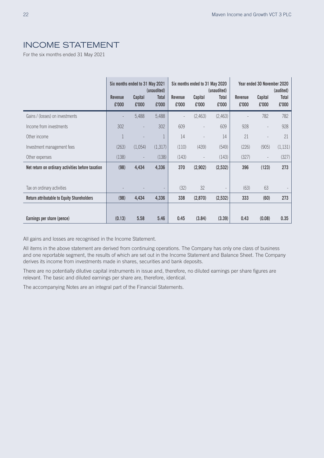### INCOME STATEMENT

For the six months ended 31 May 2021

|                                                   |                         | Six months ended to 31 May 2021 | (unaudited)           |                         | Six months ended to 31 May 2020 | (unaudited)              |                         | Year ended 30 November 2020 | (audited)      |
|---------------------------------------------------|-------------------------|---------------------------------|-----------------------|-------------------------|---------------------------------|--------------------------|-------------------------|-----------------------------|----------------|
|                                                   | <b>Revenue</b><br>£'000 | Capital<br>£'000                | <b>Total</b><br>£'000 | <b>Revenue</b><br>£'000 | Capital<br>£'000                | Total<br>£'000           | <b>Revenue</b><br>£'000 | Capital<br>£'000            | Total<br>£'000 |
| Gains / (losses) on investments                   |                         | 5,488                           | 5,488                 |                         | (2,463)                         | (2,463)                  |                         | 782                         | 782            |
| Income from investments                           | 302                     | $\overline{a}$                  | 302                   | 609                     |                                 | 609                      | 928                     | $\overline{\phantom{a}}$    | 928            |
| Other income                                      |                         |                                 |                       | 14                      |                                 | 14                       | 21                      |                             | 21             |
| Investment management fees                        | (263)                   | (1,054)                         | (1,317)               | (110)                   | (439)                           | (549)                    | (226)                   | (905)                       | (1, 131)       |
| Other expenses                                    | (138)                   |                                 | (138)                 | (143)                   | $\overline{a}$                  | (143)                    | (327)                   | $\overline{\phantom{a}}$    | (327)          |
| Net return on ordinary activities before taxation | (98)                    | 4,434                           | 4,336                 | 370                     | (2,902)                         | (2,532)                  | 396                     | (123)                       | 273            |
|                                                   |                         |                                 |                       |                         |                                 |                          |                         |                             |                |
| Tax on ordinary activities                        |                         |                                 |                       | (32)                    | 32                              | $\overline{\phantom{a}}$ | (63)                    | 63                          |                |
| <b>Return attributable to Equity Shareholders</b> | (98)                    | 4,434                           | 4,336                 | 338                     | (2,870)                         | (2,532)                  | 333                     | (60)                        | 273            |
|                                                   |                         |                                 |                       |                         |                                 |                          |                         |                             |                |
| Earnings per share (pence)                        | (0.13)                  | 5.58                            | 5.46                  | 0.45                    | (3.84)                          | (3.39)                   | 0.43                    | (0.08)                      | 0.35           |

All gains and losses are recognised in the Income Statement.

All items in the above statement are derived from continuing operations. The Company has only one class of business and one reportable segment, the results of which are set out in the Income Statement and Balance Sheet. The Company derives its income from investments made in shares, securities and bank deposits.

There are no potentially dilutive capital instruments in issue and, therefore, no diluted earnings per share figures are relevant. The basic and diluted earnings per share are, therefore, identical.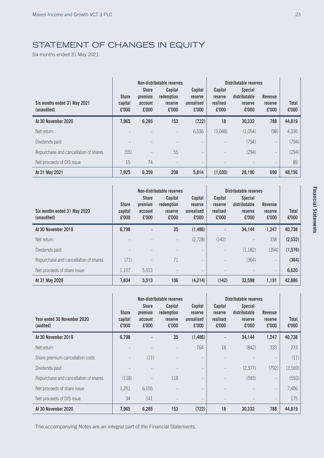### STATEMENT OF CHANGES IN EQUITY

Six months ended 31 May 2021

|                                             | Non-distributable reserves       |                                             |                                                  | Distributable reserves                    |                                         |                                                            |                                    |                       |
|---------------------------------------------|----------------------------------|---------------------------------------------|--------------------------------------------------|-------------------------------------------|-----------------------------------------|------------------------------------------------------------|------------------------------------|-----------------------|
| Six months ended 31 May 2021<br>(unaudited) | <b>Share</b><br>capital<br>£'000 | <b>Share</b><br>premium<br>account<br>£'000 | <b>Capital</b><br>redemption<br>reserve<br>£'000 | Capital<br>reserve<br>unrealised<br>£'000 | Capital<br>reserve<br>realised<br>£'000 | <b>Special</b><br>distributable<br><b>reserve</b><br>£'000 | Revenue<br><b>reserve</b><br>£'000 | <b>Total</b><br>£'000 |
| At 30 November 2020                         | 7,965                            | 6,285                                       | 153                                              | (722)                                     | 18                                      | 30,332                                                     | 788                                | 44,819                |
| Net return                                  |                                  |                                             | $\overline{\phantom{a}}$                         | 6,536                                     | (1.048)                                 | (1.054)                                                    | (98)                               | 4,336                 |
| Dividends paid                              |                                  |                                             |                                                  |                                           |                                         | (794)                                                      | $\qquad \qquad -$                  | (794)                 |
| Repurchase and cancellation of shares       | (55)                             |                                             | 55                                               |                                           |                                         | (294)                                                      |                                    | (294)                 |
| Net proceeds of DIS issue                   | 15                               | 74                                          |                                                  | $\qquad \qquad -$                         |                                         |                                                            |                                    | 89                    |
| At 31 May 2021                              | 7.925                            | 6,359                                       | 208                                              | 5,814                                     | (1,030)                                 | 28,190                                                     | 690                                | 48.156                |

| Six months ended 31 May 2020<br>(unaudited) | <b>Share</b><br>capital<br>£'000 | <b>Share</b><br>premium<br>account<br>£'000 | Non-distributable reserves<br><b>Capital</b><br>redemption<br>reserve<br>£'000 | Capital<br>reserve<br>unrealised<br>£'000 | Capital<br><b>reserve</b><br>realised<br>£'000 | Distributable reserves<br><b>Special</b><br>distributable<br>reserve<br>£'000 | <b>Revenue</b><br>reserve<br>£'000 | <b>Total</b><br>£'000 |
|---------------------------------------------|----------------------------------|---------------------------------------------|--------------------------------------------------------------------------------|-------------------------------------------|------------------------------------------------|-------------------------------------------------------------------------------|------------------------------------|-----------------------|
| At 30 November 2019                         | 6,798                            | ٠                                           | 35                                                                             | (1,486)                                   | $\blacksquare$                                 | 34,144                                                                        | 1,247                              | 40,738                |
| Net return                                  |                                  |                                             |                                                                                | (2,728)                                   | (142)                                          |                                                                               | 338                                | (2,532)               |
| Dividends paid                              |                                  |                                             |                                                                                |                                           |                                                | (1, 182)                                                                      | (394)                              | (1,576)               |
| Repurchase and cancellation of shares       | (71)                             |                                             | 71                                                                             |                                           |                                                | (364)                                                                         | $\overline{\phantom{a}}$           | (364)                 |
| Net proceeds of share issue                 | 1,107                            | 5,513                                       |                                                                                |                                           |                                                |                                                                               | $\overline{\phantom{a}}$           | 6,620                 |
| At 31 May 2020                              | 7.834                            | 5,513                                       | 106                                                                            | (4,214)                                   | (142)                                          | 32,598                                                                        | 1,191                              | 42,886                |

|                                          | Non-distributable reserves       |                                             |                                           | Distributable reserves                           |                                                |                                                     |                             |                       |
|------------------------------------------|----------------------------------|---------------------------------------------|-------------------------------------------|--------------------------------------------------|------------------------------------------------|-----------------------------------------------------|-----------------------------|-----------------------|
| Year ended 30 November 2020<br>(audited) | <b>Share</b><br>capital<br>£'000 | <b>Share</b><br>premium<br>account<br>£'000 | Capital<br>redemption<br>reserve<br>£'000 | Capital<br><b>reserve</b><br>unrealised<br>£'000 | Capital<br><b>reserve</b><br>realised<br>£'000 | <b>Special</b><br>distributable<br>reserve<br>£'000 | Revenue<br>reserve<br>£'000 | <b>Total</b><br>£'000 |
| At 30 November 2019                      | 6,798                            |                                             | 35                                        | (1,486)                                          |                                                | 34,144                                              | 1,247                       | 40,738                |
| Net return                               |                                  |                                             |                                           | 764                                              | 18                                             | (842)                                               | 333                         | 273                   |
| Share premium cancellation costs         |                                  | (11)                                        |                                           |                                                  |                                                |                                                     |                             | (11)                  |
| Dividends paid                           |                                  |                                             |                                           | $\overline{\phantom{a}}$                         |                                                | (2,377)                                             | (792)                       | (3,169)               |
| Repurchase and cancellation of shares    | (118)                            |                                             | 118                                       |                                                  |                                                | (593)                                               |                             | (593)                 |
| Net proceeds of share issue              | 1,251                            | 6,155                                       |                                           | $\overline{\phantom{0}}$                         |                                                |                                                     | $\overline{\phantom{0}}$    | 7,406                 |
| Net proceeds of DIS issue                | 34                               | 141                                         |                                           | $\overline{\phantom{a}}$                         |                                                |                                                     |                             | 175                   |
| At 30 November 2020                      | 7,965                            | 6,285                                       | 153                                       | (722)                                            | 18                                             | 30,332                                              | 788                         | 44,819                |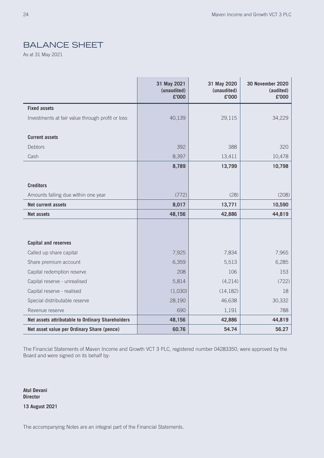### BALANCE SHEET

As at 31 May 2021

|                                                  | 31 May 2021<br>(unaudited)<br>£'000 | 31 May 2020<br>(unaudited)<br>£'000 | <b>30 November 2020</b><br>(audited)<br>£'000 |
|--------------------------------------------------|-------------------------------------|-------------------------------------|-----------------------------------------------|
| <b>Fixed assets</b>                              |                                     |                                     |                                               |
| Investments at fair value through profit or loss | 40,139                              | 29,115                              | 34,229                                        |
|                                                  |                                     |                                     |                                               |
| <b>Current assets</b>                            |                                     |                                     |                                               |
| <b>Debtors</b>                                   | 392                                 | 388                                 | 320                                           |
| Cash                                             | 8,397                               | 13,411                              | 10,478                                        |
|                                                  | 8,789                               | 13,799                              | 10,798                                        |
|                                                  |                                     |                                     |                                               |
| <b>Creditors</b>                                 |                                     |                                     |                                               |
| Amounts falling due within one year              | (772)                               | (28)                                | (208)                                         |
| <b>Net current assets</b>                        | 8,017                               | 13,771                              | 10,590                                        |
| <b>Net assets</b>                                | 48,156                              | 42,886                              | 44,819                                        |
|                                                  |                                     |                                     |                                               |
|                                                  |                                     |                                     |                                               |
| <b>Capital and reserves</b>                      |                                     |                                     |                                               |
| Called up share capital                          | 7,925                               | 7,834                               | 7,965                                         |
| Share premium account                            | 6,359                               | 5,513                               | 6,285                                         |
| Capital redemption reserve                       | 208                                 | 106                                 | 153                                           |
| Capital reserve - unrealised                     | 5,814                               | (4,214)                             | (722)                                         |
| Capital reserve - realised                       | (1,030)                             | (14, 182)                           | 18                                            |
| Special distributable reserve                    | 28,190                              | 46,638                              | 30,332                                        |
| Revenue reserve                                  | 690                                 | 1,191                               | 788                                           |
| Net assets attributable to Ordinary Shareholders | 48,156                              | 42,886                              | 44,819                                        |
| Net asset value per Ordinary Share (pence)       | 60.76                               | 54.74                               | 56.27                                         |

The Financial Statements of Maven Income and Growth VCT 3 PLC, registered number 04283350, were approved by the Board and were signed on its behalf by:

**Atul Devani Director 13 August 2021**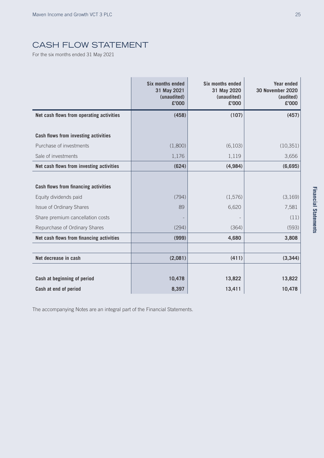### CASH FLOW STATEMENT

For the six months ended 31 May 2021

|                                             | <b>Six months ended</b><br>31 May 2021<br>(unaudited)<br>£'000 | <b>Six months ended</b><br>31 May 2020<br>(unaudited)<br>£'000 | <b>Year ended</b><br><b>30 November 2020</b><br>(audited)<br>£'000 |
|---------------------------------------------|----------------------------------------------------------------|----------------------------------------------------------------|--------------------------------------------------------------------|
| Net cash flows from operating activities    | (458)                                                          | (107)                                                          | (457)                                                              |
| <b>Cash flows from investing activities</b> |                                                                |                                                                |                                                                    |
| Purchase of investments                     | (1,800)                                                        | (6, 103)                                                       | (10, 351)                                                          |
| Sale of investments                         | 1,176                                                          | 1,119                                                          | 3,656                                                              |
| Net cash flows from investing activities    | (624)                                                          | (4, 984)                                                       | (6,695)                                                            |
|                                             |                                                                |                                                                |                                                                    |
| <b>Cash flows from financing activities</b> |                                                                |                                                                |                                                                    |
| Equity dividends paid                       | (794)                                                          | (1, 576)                                                       | (3,169)                                                            |
| <b>Issue of Ordinary Shares</b>             | 89                                                             | 6,620                                                          | 7,581                                                              |
| Share premium cancellation costs            |                                                                |                                                                | (11)                                                               |
| Repurchase of Ordinary Shares               | (294)                                                          | (364)                                                          | (593)                                                              |
| Net cash flows from financing activities    | (999)                                                          | 4,680                                                          | 3,808                                                              |
|                                             |                                                                |                                                                |                                                                    |
| Net decrease in cash                        | (2,081)                                                        | (411)                                                          | (3, 344)                                                           |
|                                             |                                                                |                                                                |                                                                    |
| Cash at beginning of period                 | 10,478                                                         | 13,822                                                         | 13,822                                                             |
| Cash at end of period                       | 8,397                                                          | 13,411                                                         | 10,478                                                             |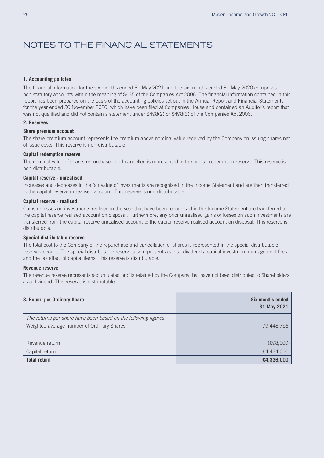### NOTES TO THE FINANCIAL STATEMENTS

#### **1. Accounting policies**

The financial information for the six months ended 31 May 2021 and the six months ended 31 May 2020 comprises non-statutory accounts within the meaning of S435 of the Companies Act 2006. The financial information contained in this report has been prepared on the basis of the accounting policies set out in the Annual Report and Financial Statements for the year ended 30 November 2020, which have been filed at Companies House and contained an Auditor's report that was not qualified and did not contain a statement under S498(2) or S498(3) of the Companies Act 2006.

#### **2. Reserves**

#### **Share premium account**

The share premium account represents the premium above nominal value received by the Company on issuing shares net of issue costs. This reserve is non-distributable.

#### **Capital redemption reserve**

The nominal value of shares repurchased and cancelled is represented in the capital redemption reserve. This reserve is non-distributable.

#### **Capital reserve - unrealised**

Increases and decreases in the fair value of investments are recognised in the Income Statement and are then transferred to the capital reserve unrealised account. This reserve is non-distributable.

#### **Capital reserve - realised**

Gains or losses on investments realised in the year that have been recognised in the Income Statement are transferred to the capital reserve realised account on disposal. Furthermore, any prior unrealised gains or losses on such investments are transferred from the capital reserve unrealised account to the capital reserve realised account on disposal. This reserve is distributable.

#### **Special distributable reserve**

The total cost to the Company of the repurchase and cancellation of shares is represented in the special distributable reserve account. The special distributable reserve also represents capital dividends, capital investment management fees and the tax effect of capital items. This reserve is distributable.

#### **Revenue reserve**

The revenue reserve represents accumulated profits retained by the Company that have not been distributed to Shareholders as a dividend. This reserve is distributable.

| 3. Return per Ordinary Share                                    | Six months ended<br>31 May 2021 |
|-----------------------------------------------------------------|---------------------------------|
| The returns per share have been based on the following figures: |                                 |
| Weighted average number of Ordinary Shares                      | 79,448,756                      |
|                                                                 |                                 |
| Revenue return                                                  | (E98,000)                       |
| Capital return                                                  | £4,434,000                      |
| <b>Total return</b>                                             | £4,336,000                      |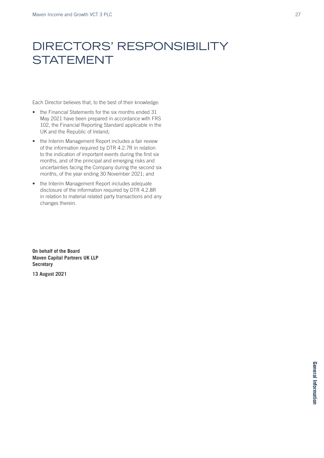# DIRECTORS' RESPONSIBILITY **STATEMENT**

Each Director believes that, to the best of their knowledge:

- the Financial Statements for the six months ended 31 May 2021 have been prepared in accordance with FRS 102, the Financial Reporting Standard applicable in the UK and the Republic of Ireland;
- the Interim Management Report includes a fair review of the information required by DTR 4.2.7R in relation to the indication of important events during the first six months, and of the principal and emerging risks and uncertainties facing the Company during the second six months, of the year ending 30 November 2021; and
- the Interim Management Report includes adequate disclosure of the information required by DTR 4.2.8R in relation to material related party transactions and any changes therein.

**On behalf of the Board Maven Capital Partners UK LLP Secretary**

**13 August 2021**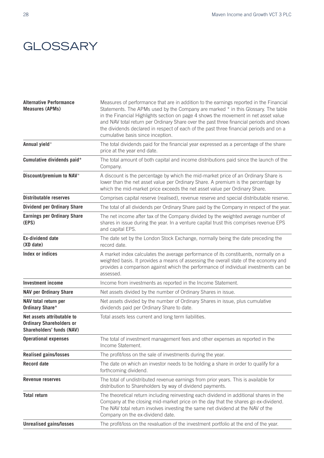## **GLOSSARY**

| <b>Alternative Performance</b><br><b>Measures (APMs)</b>                                          | Measures of performance that are in addition to the earnings reported in the Financial<br>Statements. The APMs used by the Company are marked * in this Glossary. The table<br>in the Financial Highlights section on page 4 shows the movement in net asset value<br>and NAV total return per Ordinary Share over the past three financial periods and shows<br>the dividends declared in respect of each of the past three financial periods and on a<br>cumulative basis since inception. |
|---------------------------------------------------------------------------------------------------|----------------------------------------------------------------------------------------------------------------------------------------------------------------------------------------------------------------------------------------------------------------------------------------------------------------------------------------------------------------------------------------------------------------------------------------------------------------------------------------------|
| Annual yield*                                                                                     | The total dividends paid for the financial year expressed as a percentage of the share<br>price at the year end date.                                                                                                                                                                                                                                                                                                                                                                        |
| Cumulative dividends paid*                                                                        | The total amount of both capital and income distributions paid since the launch of the<br>Company.                                                                                                                                                                                                                                                                                                                                                                                           |
| Discount/premium to NAV*                                                                          | A discount is the percentage by which the mid-market price of an Ordinary Share is<br>lower than the net asset value per Ordinary Share. A premium is the percentage by<br>which the mid-market price exceeds the net asset value per Ordinary Share.                                                                                                                                                                                                                                        |
| <b>Distributable reserves</b>                                                                     | Comprises capital reserve (realised), revenue reserve and special distributable reserve.                                                                                                                                                                                                                                                                                                                                                                                                     |
| <b>Dividend per Ordinary Share</b>                                                                | The total of all dividends per Ordinary Share paid by the Company in respect of the year.                                                                                                                                                                                                                                                                                                                                                                                                    |
| <b>Earnings per Ordinary Share</b><br>(EPS)                                                       | The net income after tax of the Company divided by the weighted average number of<br>shares in issue during the year. In a venture capital trust this comprises revenue EPS<br>and capital EPS.                                                                                                                                                                                                                                                                                              |
| <b>Ex-dividend date</b><br>(XD date)                                                              | The date set by the London Stock Exchange, normally being the date preceding the<br>record date.                                                                                                                                                                                                                                                                                                                                                                                             |
| <b>Index or indices</b>                                                                           | A market index calculates the average performance of its constituents, normally on a<br>weighted basis. It provides a means of assessing the overall state of the economy and<br>provides a comparison against which the performance of individual investments can be<br>assessed.                                                                                                                                                                                                           |
| <b>Investment income</b>                                                                          | Income from investments as reported in the Income Statement.                                                                                                                                                                                                                                                                                                                                                                                                                                 |
| <b>NAV per Ordinary Share</b>                                                                     | Net assets divided by the number of Ordinary Shares in issue.                                                                                                                                                                                                                                                                                                                                                                                                                                |
| NAV total return per<br><b>Ordinary Share*</b>                                                    | Net assets divided by the number of Ordinary Shares in issue, plus cumulative<br>dividends paid per Ordinary Share to date.                                                                                                                                                                                                                                                                                                                                                                  |
| Net assets attributable to<br><b>Ordinary Shareholders or</b><br><b>Shareholders' funds (NAV)</b> | Total assets less current and long term liabilities.                                                                                                                                                                                                                                                                                                                                                                                                                                         |
| <b>Operational expenses</b>                                                                       | The total of investment management fees and other expenses as reported in the<br>Income Statement.                                                                                                                                                                                                                                                                                                                                                                                           |
| <b>Realised gains/losses</b>                                                                      | The profit/loss on the sale of investments during the year.                                                                                                                                                                                                                                                                                                                                                                                                                                  |
| <b>Record date</b>                                                                                | The date on which an investor needs to be holding a share in order to qualify for a<br>forthcoming dividend.                                                                                                                                                                                                                                                                                                                                                                                 |
| Revenue reserves                                                                                  | The total of undistributed revenue earnings from prior years. This is available for<br>distribution to Shareholders by way of dividend payments.                                                                                                                                                                                                                                                                                                                                             |
| <b>Total return</b>                                                                               | The theoretical return including reinvesting each dividend in additional shares in the<br>Company at the closing mid-market price on the day that the shares go ex-dividend.<br>The NAV total return involves investing the same net dividend at the NAV of the<br>Company on the ex-dividend date.                                                                                                                                                                                          |
| <b>Unrealised gains/losses</b>                                                                    | The profit/loss on the revaluation of the investment portfolio at the end of the year.                                                                                                                                                                                                                                                                                                                                                                                                       |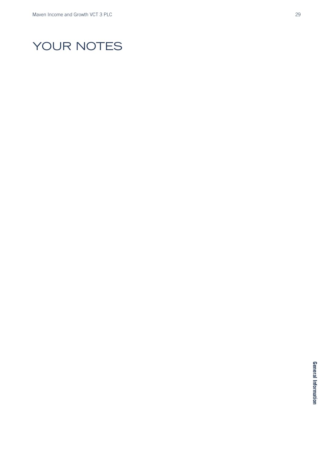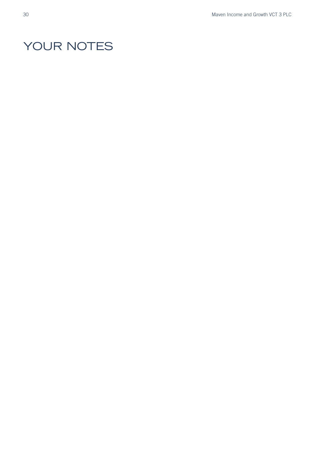# YOUR NOTES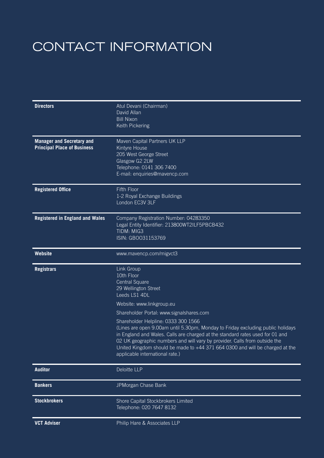# CONTACT INFORMATION

| <b>Directors</b>                                                       | Atul Devani (Chairman)<br>David Allan<br><b>Bill Nixon</b><br>Keith Pickering                                                                                                                                                                                                                                                                                                                            |
|------------------------------------------------------------------------|----------------------------------------------------------------------------------------------------------------------------------------------------------------------------------------------------------------------------------------------------------------------------------------------------------------------------------------------------------------------------------------------------------|
| <b>Manager and Secretary and</b><br><b>Principal Place of Business</b> | Maven Capital Partners UK LLP<br>Kintyre House<br>205 West George Street<br>Glasgow G2 2LW<br>Telephone: 0141 306 7400<br>E-mail: enquiries@mavencp.com                                                                                                                                                                                                                                                  |
| <b>Registered Office</b>                                               | <b>Fifth Floor</b><br>1-2 Royal Exchange Buildings<br>London EC3V 3LF                                                                                                                                                                                                                                                                                                                                    |
| <b>Registered in England and Wales</b>                                 | Company Registration Number: 04283350<br>Legal Entity Identifier: 213800WT2ILF5PBCB432<br>TIDM: MIG3<br>ISIN: GBOO31153769                                                                                                                                                                                                                                                                               |
| <b>Website</b>                                                         | www.mavencp.com/migvct3                                                                                                                                                                                                                                                                                                                                                                                  |
| <b>Registrars</b>                                                      | Link Group<br>10th Floor<br><b>Central Square</b><br>29 Wellington Street<br>Leeds LS1 4DL                                                                                                                                                                                                                                                                                                               |
|                                                                        | Website: www.linkgroup.eu                                                                                                                                                                                                                                                                                                                                                                                |
|                                                                        | Shareholder Portal: www.signalshares.com                                                                                                                                                                                                                                                                                                                                                                 |
|                                                                        | Shareholder Helpline: 0333 300 1566<br>(Lines are open 9.00am until 5.30pm, Monday to Friday excluding public holidays<br>in England and Wales. Calls are charged at the standard rates used for 01 and<br>02 UK geographic numbers and will vary by provider. Calls from outside the<br>United Kingdom should be made to +44 371 664 0300 and will be charged at the<br>applicable international rate.) |
| <b>Auditor</b>                                                         | Deloitte LLP                                                                                                                                                                                                                                                                                                                                                                                             |
| <b>Bankers</b>                                                         | JPMorgan Chase Bank                                                                                                                                                                                                                                                                                                                                                                                      |
| <b>Stockbrokers</b>                                                    | Shore Capital Stockbrokers Limited<br>Telephone: 020 7647 8132                                                                                                                                                                                                                                                                                                                                           |
| <b>VCT Adviser</b>                                                     | Philip Hare & Associates LLP                                                                                                                                                                                                                                                                                                                                                                             |